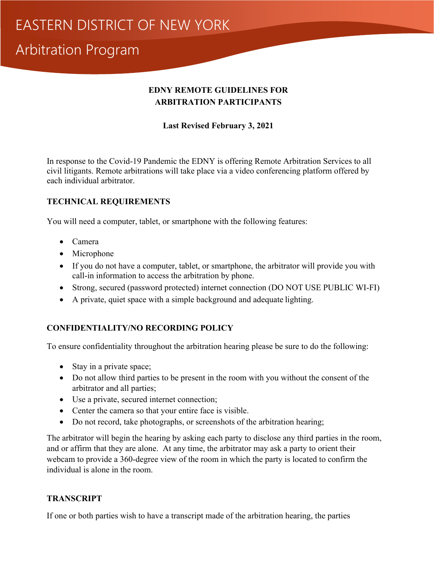### **EDNY REMOTE GUIDELINES FOR ARBITRATION PARTICIPANTS**

**Last Revised February 3, 2021** 

In response to the Covid-19 Pandemic the EDNY is offering Remote Arbitration Services to all civil litigants. Remote arbitrations will take place via a video conferencing platform offered by each individual arbitrator.

### **TECHNICAL REQUIREMENTS**

You will need a computer, tablet, or smartphone with the following features:

- Camera
- Microphone
- If you do not have a computer, tablet, or smartphone, the arbitrator will provide you with call-in information to access the arbitration by phone.
- Strong, secured (password protected) internet connection (DO NOT USE PUBLIC WI-FI)
- A private, quiet space with a simple background and adequate lighting.

### **CONFIDENTIALITY/NO RECORDING POLICY**

To ensure confidentiality throughout the arbitration hearing please be sure to do the following:

- Stay in a private space;
- Do not allow third parties to be present in the room with you without the consent of the arbitrator and all parties;
- Use a private, secured internet connection;
- Center the camera so that your entire face is visible.
- Do not record, take photographs, or screenshots of the arbitration hearing;

The arbitrator will begin the hearing by asking each party to disclose any third parties in the room, and or affirm that they are alone. At any time, the arbitrator may ask a party to orient their webcam to provide a 360-degree view of the room in which the party is located to confirm the individual is alone in the room.

### **TRANSCRIPT**

If one or both parties wish to have a transcript made of the arbitration hearing, the parties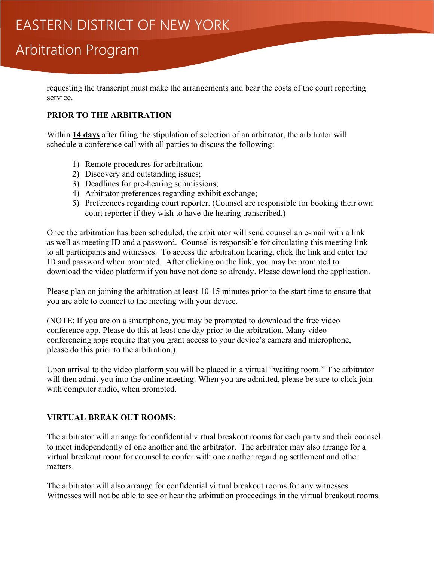requesting the transcript must make the arrangements and bear the costs of the court reporting service.

#### **PRIOR TO THE ARBITRATION**

Within **14 days** after filing the stipulation of selection of an arbitrator, the arbitrator will schedule a conference call with all parties to discuss the following:

- 1) Remote procedures for arbitration;
- 2) Discovery and outstanding issues;
- 3) Deadlines for pre-hearing submissions;
- 4) Arbitrator preferences regarding exhibit exchange;
- 5) Preferences regarding court reporter. (Counsel are responsible for booking their own court reporter if they wish to have the hearing transcribed.)

Once the arbitration has been scheduled, the arbitrator will send counsel an e-mail with a link as well as meeting ID and a password. Counsel is responsible for circulating this meeting link to all participants and witnesses. To access the arbitration hearing, click the link and enter the ID and password when prompted. After clicking on the link, you may be prompted to download the video platform if you have not done so already. Please download the application.

Please plan on joining the arbitration at least 10-15 minutes prior to the start time to ensure that you are able to connect to the meeting with your device.

(NOTE: If you are on a smartphone, you may be prompted to download the free video conference app. Please do this at least one day prior to the arbitration. Many video conferencing apps require that you grant access to your device's camera and microphone, please do this prior to the arbitration.)

Upon arrival to the video platform you will be placed in a virtual "waiting room." The arbitrator will then admit you into the online meeting. When you are admitted, please be sure to click join with computer audio, when prompted.

#### **VIRTUAL BREAK OUT ROOMS:**

The arbitrator will arrange for confidential virtual breakout rooms for each party and their counsel to meet independently of one another and the arbitrator. The arbitrator may also arrange for a virtual breakout room for counsel to confer with one another regarding settlement and other matters.

The arbitrator will also arrange for confidential virtual breakout rooms for any witnesses. Witnesses will not be able to see or hear the arbitration proceedings in the virtual breakout rooms.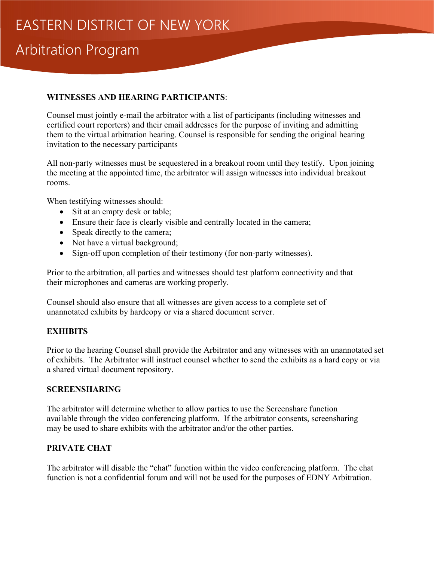#### **WITNESSES AND HEARING PARTICIPANTS**:

Counsel must jointly e-mail the arbitrator with a list of participants (including witnesses and certified court reporters) and their email addresses for the purpose of inviting and admitting them to the virtual arbitration hearing. Counsel is responsible for sending the original hearing invitation to the necessary participants

All non-party witnesses must be sequestered in a breakout room until they testify. Upon joining the meeting at the appointed time, the arbitrator will assign witnesses into individual breakout rooms.

When testifying witnesses should:

- Sit at an empty desk or table;
- Ensure their face is clearly visible and centrally located in the camera;
- Speak directly to the camera;
- Not have a virtual background;
- Sign-off upon completion of their testimony (for non-party witnesses).

Prior to the arbitration, all parties and witnesses should test platform connectivity and that their microphones and cameras are working properly.

Counsel should also ensure that all witnesses are given access to a complete set of unannotated exhibits by hardcopy or via a shared document server.

### **EXHIBITS**

Prior to the hearing Counsel shall provide the Arbitrator and any witnesses with an unannotated set of exhibits. The Arbitrator will instruct counsel whether to send the exhibits as a hard copy or via a shared virtual document repository.

#### **SCREENSHARING**

The arbitrator will determine whether to allow parties to use the Screenshare function available through the video conferencing platform. If the arbitrator consents, screensharing may be used to share exhibits with the arbitrator and/or the other parties.

### **PRIVATE CHAT**

The arbitrator will disable the "chat" function within the video conferencing platform. The chat function is not a confidential forum and will not be used for the purposes of EDNY Arbitration.